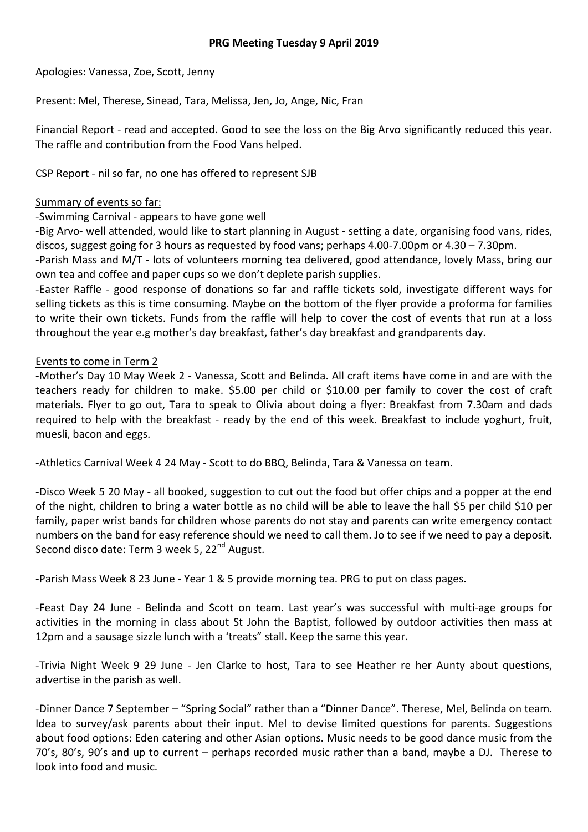Apologies: Vanessa, Zoe, Scott, Jenny

Present: Mel, Therese, Sinead, Tara, Melissa, Jen, Jo, Ange, Nic, Fran

Financial Report - read and accepted. Good to see the loss on the Big Arvo significantly reduced this year. The raffle and contribution from the Food Vans helped.

CSP Report - nil so far, no one has offered to represent SJB

## Summary of events so far:

-Swimming Carnival - appears to have gone well

-Big Arvo- well attended, would like to start planning in August - setting a date, organising food vans, rides, discos, suggest going for 3 hours as requested by food vans; perhaps 4.00-7.00pm or 4.30 – 7.30pm.

-Parish Mass and M/T - lots of volunteers morning tea delivered, good attendance, lovely Mass, bring our own tea and coffee and paper cups so we don't deplete parish supplies.

-Easter Raffle - good response of donations so far and raffle tickets sold, investigate different ways for selling tickets as this is time consuming. Maybe on the bottom of the flyer provide a proforma for families to write their own tickets. Funds from the raffle will help to cover the cost of events that run at a loss throughout the year e.g mother's day breakfast, father's day breakfast and grandparents day.

## Events to come in Term 2

-Mother's Day 10 May Week 2 - Vanessa, Scott and Belinda. All craft items have come in and are with the teachers ready for children to make. \$5.00 per child or \$10.00 per family to cover the cost of craft materials. Flyer to go out, Tara to speak to Olivia about doing a flyer: Breakfast from 7.30am and dads required to help with the breakfast - ready by the end of this week. Breakfast to include yoghurt, fruit, muesli, bacon and eggs.

-Athletics Carnival Week 4 24 May - Scott to do BBQ, Belinda, Tara & Vanessa on team.

-Disco Week 5 20 May - all booked, suggestion to cut out the food but offer chips and a popper at the end of the night, children to bring a water bottle as no child will be able to leave the hall \$5 per child \$10 per family, paper wrist bands for children whose parents do not stay and parents can write emergency contact numbers on the band for easy reference should we need to call them. Jo to see if we need to pay a deposit. Second disco date: Term 3 week 5, 22<sup>nd</sup> August.

-Parish Mass Week 8 23 June - Year 1 & 5 provide morning tea. PRG to put on class pages.

-Feast Day 24 June - Belinda and Scott on team. Last year's was successful with multi-age groups for activities in the morning in class about St John the Baptist, followed by outdoor activities then mass at 12pm and a sausage sizzle lunch with a 'treats" stall. Keep the same this year.

-Trivia Night Week 9 29 June - Jen Clarke to host, Tara to see Heather re her Aunty about questions, advertise in the parish as well.

-Dinner Dance 7 September – "Spring Social" rather than a "Dinner Dance". Therese, Mel, Belinda on team. Idea to survey/ask parents about their input. Mel to devise limited questions for parents. Suggestions about food options: Eden catering and other Asian options. Music needs to be good dance music from the 70's, 80's, 90's and up to current – perhaps recorded music rather than a band, maybe a DJ. Therese to look into food and music.